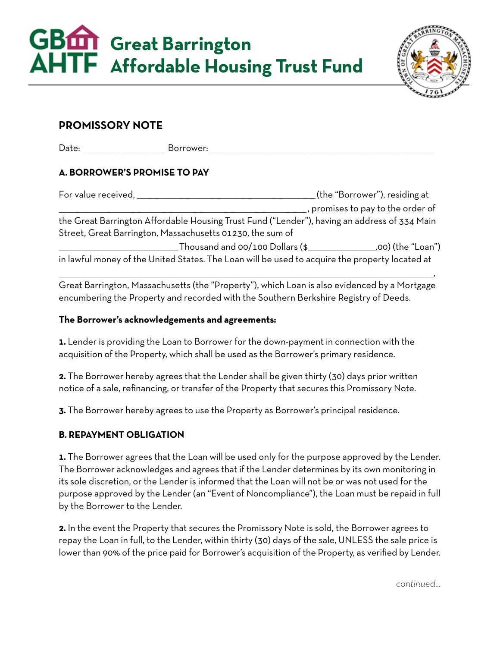**Great Barrington Affordable Housing Trust Fund**



# **PROMISSORY NOTE**

Date: Borrower:

# **A. BORROWER'S PROMISE TO PAY**

| For value received,                                                                            | (the "Borrower"), residing at     |  |
|------------------------------------------------------------------------------------------------|-----------------------------------|--|
|                                                                                                | , promises to pay to the order of |  |
| the Great Barrington Affordable Housing Trust Fund ("Lender"), having an address of 334 Main   |                                   |  |
| Street, Great Barrington, Massachusetts 01230, the sum of                                      |                                   |  |
| Thousand and 00/100 Dollars (\$                                                                | .00) (the "Loan")                 |  |
| in lawful money of the United States. The Loan will be used to acquire the property located at |                                   |  |

Great Barrington, Massachusetts (the "Property"), which Loan is also evidenced by a Mortgage encumbering the Property and recorded with the Southern Berkshire Registry of Deeds.

 $\overline{\phantom{a}}$  , and the contract of the contract of the contract of the contract of the contract of the contract of the contract of the contract of the contract of the contract of the contract of the contract of the contrac

## **The Borrower's acknowledgements and agreements:**

**1.** Lender is providing the Loan to Borrower for the down-payment in connection with the acquisition of the Property, which shall be used as the Borrower's primary residence.

**2.** The Borrower hereby agrees that the Lender shall be given thirty (30) days prior written notice of a sale, refinancing, or transfer of the Property that secures this Promissory Note.

**3.** The Borrower hereby agrees to use the Property as Borrower's principal residence.

## **B. REPAYMENT OBLIGATION**

**1.** The Borrower agrees that the Loan will be used only for the purpose approved by the Lender. The Borrower acknowledges and agrees that if the Lender determines by its own monitoring in its sole discretion, or the Lender is informed that the Loan will not be or was not used for the purpose approved by the Lender (an "Event of Noncompliance"), the Loan must be repaid in full by the Borrower to the Lender.

**2.** In the event the Property that secures the Promissory Note is sold, the Borrower agrees to repay the Loan in full, to the Lender, within thirty (30) days of the sale, UNLESS the sale price is lower than 90% of the price paid for Borrower's acquisition of the Property, as verified by Lender.

*continued…*